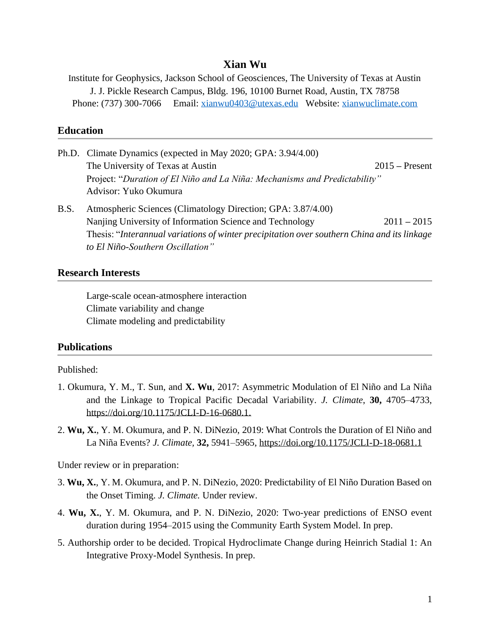## **Xian Wu**

Institute for Geophysics, Jackson School of Geosciences, The University of Texas at Austin J. J. Pickle Research Campus, Bldg. 196, 10100 Burnet Road, Austin, TX 78758 Phone: (737) 300-7066 Email: [xianwu0403@utexas.edu](mailto:xianwu0403@utexas.edu) Website: [xianwuclimate.com](http://xianwuclimate.com/)

# **Education**

|      | Ph.D. Climate Dynamics (expected in May 2020; GPA: 3.94/4.00)                               |                  |  |
|------|---------------------------------------------------------------------------------------------|------------------|--|
|      | The University of Texas at Austin                                                           | $2015$ – Present |  |
|      | Project: "Duration of El Niño and La Niña: Mechanisms and Predictability"                   |                  |  |
|      | Advisor: Yuko Okumura                                                                       |                  |  |
| B.S. | Atmospheric Sciences (Climatology Direction; GPA: 3.87/4.00)                                |                  |  |
|      | Nanjing University of Information Science and Technology                                    | $2011 - 2015$    |  |
|      | Thesis: "Interannual variations of winter precipitation over southern China and its linkage |                  |  |
|      | to El Niño-Southern Oscillation"                                                            |                  |  |

#### **Research Interests**

Large-scale ocean-atmosphere interaction Climate variability and change Climate modeling and predictability

#### **Publications**

#### Published:

- 1. Okumura, Y. M., T. Sun, and **X. Wu**, 2017: Asymmetric Modulation of El Niño and La Niña and the Linkage to Tropical Pacific Decadal Variability. *J. Climate*, **30,** 4705–4733, [https://doi.org/10.1175/JCLI-D-16-0680.1.](https://doi.org/10.1175/JCLI-D-16-0680.1)
- 2. **Wu, X.**, Y. M. Okumura, and P. N. DiNezio, 2019: What Controls the Duration of El Niño and La Niña Events? *J. Climate,* **32,** 5941–5965, <https://doi.org/10.1175/JCLI-D-18-0681.1>

Under review or in preparation:

- 3. **Wu, X.**, Y. M. Okumura, and P. N. DiNezio, 2020: Predictability of El Niño Duration Based on the Onset Timing. *J. Climate.* Under review.
- 4. **Wu, X.**, Y. M. Okumura, and P. N. DiNezio, 2020: Two-year predictions of ENSO event duration during 1954–2015 using the Community Earth System Model. In prep.
- 5. Authorship order to be decided. Tropical Hydroclimate Change during Heinrich Stadial 1: An Integrative Proxy-Model Synthesis. In prep.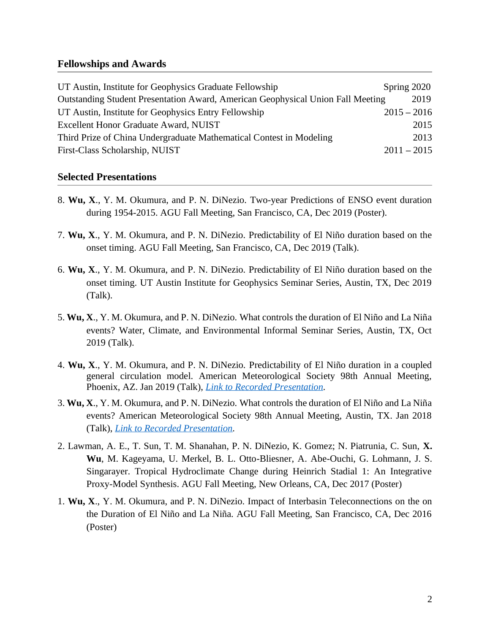### **Fellowships and Awards**

| UT Austin, Institute for Geophysics Graduate Fellowship                                | Spring 2020   |
|----------------------------------------------------------------------------------------|---------------|
| <b>Outstanding Student Presentation Award, American Geophysical Union Fall Meeting</b> | 2019          |
| UT Austin, Institute for Geophysics Entry Fellowship                                   | $2015 - 2016$ |
| Excellent Honor Graduate Award, NUIST                                                  | 2015          |
| Third Prize of China Undergraduate Mathematical Contest in Modeling                    | 2013          |
| First-Class Scholarship, NUIST                                                         | $2011 - 2015$ |

# **Selected Presentations**

- 8. **Wu, X**., Y. M. Okumura, and P. N. DiNezio*.* Two-year Predictions of ENSO event duration during 1954-2015. AGU Fall Meeting, San Francisco, CA, Dec 2019 (Poster).
- 7. **Wu, X**., Y. M. Okumura, and P. N. DiNezio*.* Predictability of El Niño duration based on the onset timing. AGU Fall Meeting, San Francisco, CA, Dec 2019 (Talk).
- 6. **Wu, X**., Y. M. Okumura, and P. N. DiNezio*.* Predictability of El Niño duration based on the onset timing. UT Austin Institute for Geophysics Seminar Series, Austin, TX, Dec 2019 (Talk).
- 5. **Wu, X**., Y. M. Okumura, and P. N. DiNezio*.* What controls the duration of El Niño and La Niña events? Water, Climate, and Environmental Informal Seminar Series, Austin, TX, Oct 2019 (Talk).
- 4. **Wu, X**., Y. M. Okumura, and P. N. DiNezio*.* Predictability of El Niño duration in a coupled general circulation model. American Meteorological Society 98th Annual Meeting, Phoenix, AZ. Jan 2019 (Talk), *[Link to Recorded Presentation.](https://ams.confex.com/ams/2019Annual/videogateway.cgi/id/51002?recordingid=51002)*
- 3. **Wu, X**., Y. M. Okumura, and P. N. DiNezio*.* What controls the duration of El Niño and La Niña events? American Meteorological Society 98th Annual Meeting, Austin, TX. Jan 2018 (Talk), *[Link to Recorded Presentation.](https://ams.confex.com/ams/98Annual/recordingredirect.cgi/id/42898?entry_password=null&uniqueid=Paper331121)*
- 2. Lawman, A. E., T. Sun, T. M. Shanahan, P. N. DiNezio, K. Gomez; N. Piatrunia, C. Sun, **X. Wu**, M. Kageyama, U. Merkel, B. L. Otto-Bliesner, A. Abe-Ouchi, G. Lohmann, J. S. Singarayer. Tropical Hydroclimate Change during Heinrich Stadial 1: An Integrative Proxy-Model Synthesis. AGU Fall Meeting, New Orleans, CA, Dec 2017 (Poster)
- 1. **Wu, X**., Y. M. Okumura, and P. N. DiNezio. Impact of Interbasin Teleconnections on the on the Duration of El Niño and La Niña. AGU Fall Meeting, San Francisco, CA, Dec 2016 (Poster)